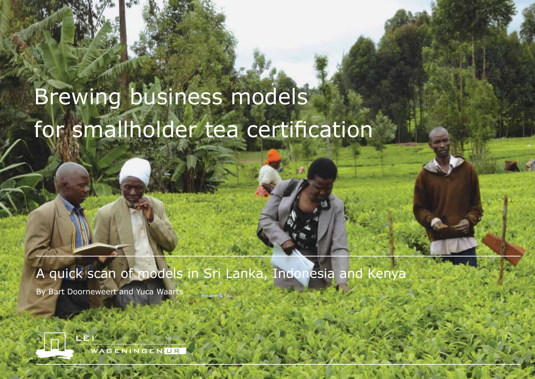# Brewing business models for smallholder tea certification

A quick scan of models in Sri Lanka, Indonesia and Kenya

By Bart Doorneweert and Yuca Waarts

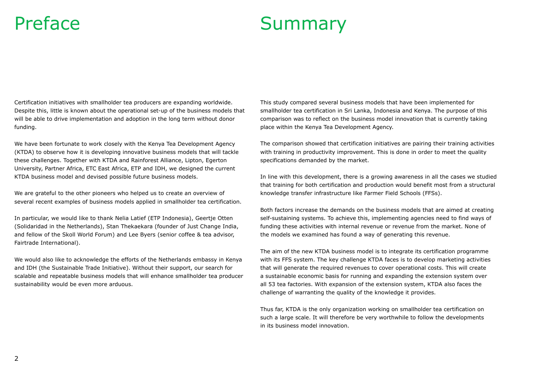## Preface Summary

Certification initiatives with smallholder tea producers are expanding worldwide. Despite this, little is known about the operational set-up of the business models that will be able to drive implementation and adoption in the long term without donor funding.

We have been fortunate to work closely with the Kenya Tea Development Agency (KTDA) to observe how it is developing innovative business models that will tackle these challenges. Together with KTDA and Rainforest Alliance, Lipton, Egerton University, Partner Africa, ETC East Africa, ETP and IDH, we designed the current KTDA business model and devised possible future business models.

We are grateful to the other pioneers who helped us to create an overview of several recent examples of business models applied in smallholder tea certification.

In particular, we would like to thank Nelia Latief (ETP Indonesia), Geertje Otten (Solidaridad in the Netherlands), Stan Thekaekara (founder of Just Change India, and fellow of the Skoll World Forum) and Lee Byers (senior coffee & tea advisor, Fairtrade International).

We would also like to acknowledge the efforts of the Netherlands embassy in Kenya and IDH (the Sustainable Trade Initiative). Without their support, our search for scalable and repeatable business models that will enhance smallholder tea producer sustainability would be even more arduous.

This study compared several business models that have been implemented for smallholder tea certification in Sri Lanka, Indonesia and Kenya. The purpose of this comparison was to reflect on the business model innovation that is currently taking place within the Kenya Tea Development Agency.

The comparison showed that certification initiatives are pairing their training activities with training in productivity improvement. This is done in order to meet the quality specifications demanded by the market.

In line with this development, there is a growing awareness in all the cases we studied that training for both certification and production would benefit most from a structural knowledge transfer infrastructure like Farmer Field Schools (FFSs).

Both factors increase the demands on the business models that are aimed at creating self-sustaining systems. To achieve this, implementing agencies need to find ways of funding these activities with internal revenue or revenue from the market. None of the models we examined has found a way of generating this revenue.

The aim of the new KTDA business model is to integrate its certification programme with its FFS system. The key challenge KTDA faces is to develop marketing activities that will generate the required revenues to cover operational costs. This will create a sustainable economic basis for running and expanding the extension system over all 53 tea factories. With expansion of the extension system, KTDA also faces the challenge of warranting the quality of the knowledge it provides.

Thus far, KTDA is the only organization working on smallholder tea certification on such a large scale. It will therefore be very worthwhile to follow the developments in its business model innovation.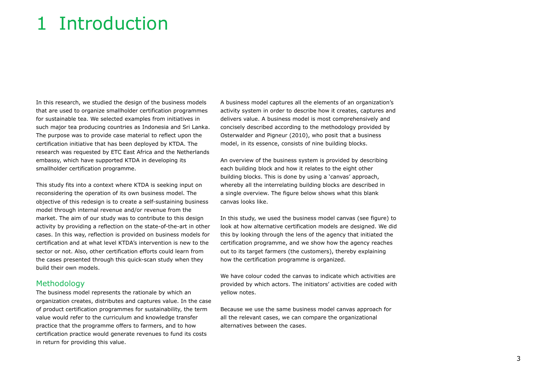## 1 Introduction

In this research, we studied the design of the business models that are used to organize smallholder certification programmes for sustainable tea. We selected examples from initiatives in such major tea producing countries as Indonesia and Sri Lanka. The purpose was to provide case material to reflect upon the certification initiative that has been deployed by KTDA. The research was requested by ETC East Africa and the Netherlands embassy, which have supported KTDA in developing its smallholder certification programme.

This study fits into a context where KTDA is seeking input on reconsidering the operation of its own business model. The objective of this redesign is to create a self-sustaining business model through internal revenue and/or revenue from the market. The aim of our study was to contribute to this design activity by providing a reflection on the state-of-the-art in other cases. In this way, reflection is provided on business models for certification and at what level KTDA's intervention is new to the sector or not. Also, other certification efforts could learn from the cases presented through this quick-scan study when they build their own models.

#### Methodology

The business model represents the rationale by which an organization creates, distributes and captures value. In the case of product certification programmes for sustainability, the term value would refer to the curriculum and knowledge transfer practice that the programme offers to farmers, and to how certification practice would generate revenues to fund its costs in return for providing this value.

A business model captures all the elements of an organization's activity system in order to describe how it creates, captures and delivers value. A business model is most comprehensively and concisely described according to the methodology provided by Osterwalder and Pigneur (2010), who posit that a business model, in its essence, consists of nine building blocks.

An overview of the business system is provided by describing each building block and how it relates to the eight other building blocks. This is done by using a 'canvas' approach, whereby all the interrelating building blocks are described in a single overview. The figure below shows what this blank canvas looks like.

In this study, we used the business model canvas (see figure) to look at how alternative certification models are designed. We did this by looking through the lens of the agency that initiated the certification programme, and we show how the agency reaches out to its target farmers (the customers), thereby explaining how the certification programme is organized.

We have colour coded the canvas to indicate which activities are provided by which actors. The initiators' activities are coded with yellow notes.

Because we use the same business model canvas approach for all the relevant cases, we can compare the organizational alternatives between the cases.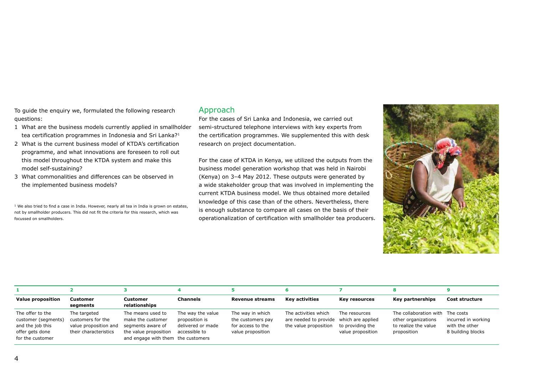To guide the enquiry we, formulated the following research questions:

- 1 What are the business models currently applied in smallholder tea certification programmes in Indonesia and Sri Lanka?1
- 2 What is the current business model of KTDA's certification programme, and what innovations are foreseen to roll out this model throughout the KTDA system and make this model self-sustaining?
- 3 What commonalities and differences can be observed in the implemented business models?

 $<sup>1</sup>$  We also tried to find a case in India. However, nearly all tea in India is grown on estates,</sup> not by smallholder producers. This did not fit the criteria for this research, which was focussed on smallholders.

#### Approach

For the cases of Sri Lanka and Indonesia, we carried out semi-structured telephone interviews with key experts from the certification programmes. We supplemented this with desk research on project documentation.

For the case of KTDA in Kenya, we utilized the outputs from the business model generation workshop that was held in Nairobi (Kenya) on 3–4 May 2012. These outputs were generated by a wide stakeholder group that was involved in implementing the current KTDA business model. We thus obtained more detailed knowledge of this case than of the others. Nevertheless, there is enough substance to compare all cases on the basis of their operationalization of certification with smallholder tea producers.



| <b>Value proposition</b>                                                                           | Customer<br>segments                                                                | Customer<br>relationships                                                                                                  | <b>Channels</b>                                                           | <b>Revenue streams</b>                                                          | <b>Key activities</b>                                                                    | Key resources                                          | Key partnerships                                                                               | Cost structure                                             |
|----------------------------------------------------------------------------------------------------|-------------------------------------------------------------------------------------|----------------------------------------------------------------------------------------------------------------------------|---------------------------------------------------------------------------|---------------------------------------------------------------------------------|------------------------------------------------------------------------------------------|--------------------------------------------------------|------------------------------------------------------------------------------------------------|------------------------------------------------------------|
| The offer to the<br>customer (segments)<br>and the job this<br>offer gets done<br>for the customer | The targeted<br>customers for the<br>value proposition and<br>their characteristics | The means used to<br>make the customer<br>segments aware of<br>the value proposition<br>and engage with them the customers | The way the value<br>proposition is<br>delivered or made<br>accessible to | The way in which<br>the customers pay<br>for access to the<br>value proposition | The activities which<br>are needed to provide which are applied<br>the value proposition | The resources<br>to providing the<br>value proposition | The collaboration with The costs<br>other organizations<br>to realize the value<br>proposition | incurred in working<br>with the other<br>8 building blocks |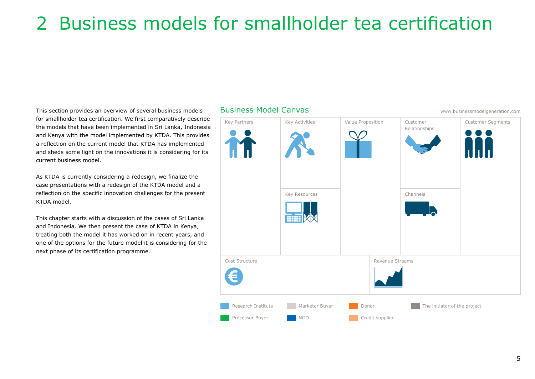## 2 Business models for smallholder tea certification

This section provides an overview of several business models for smallholder tea certification. We first comparatively describe the models that have been implemented in Sri Lanka, Indonesia and Kenya with the model implemented by KTDA. This provides a reflection on the current model that KTDA has implemented and sheds some light on the innovations it is considering for its current business model.

As KTDA is currently considering a redesign, we finalize the case presentations with a redesign of the KTDA model and a reflection on the specific innovation challenges for the present KTDA model.

This chapter starts with a discussion of the cases of Sri Lanka and Indonesia. We then present the case of KTDA in Kenya, treating both the model it has worked on in recent years, and one of the options for the future model it is considering for the next phase of its certification programme.

## Key Partners Cost Structure Revenue Streams Key Activities Key Resources Value Proposition | Customer Relationships Channels Customer Segments Research Institute Processor Buyer Marketer Buyer NGO Donor Credit supplier The initiator of the project

Business Model Canvas www.businessmodelgeneration.com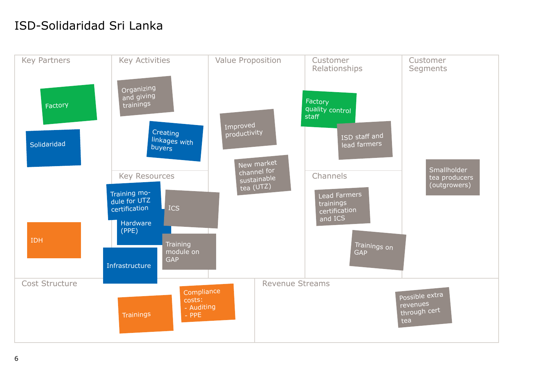## ISD-Solidaridad Sri Lanka

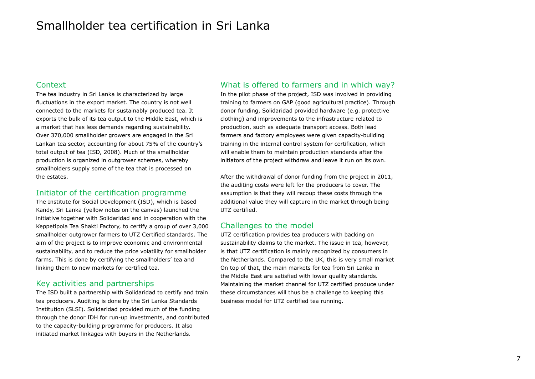### Smallholder tea certification in Sri Lanka

#### Context

The tea industry in Sri Lanka is characterized by large fluctuations in the export market. The country is not well connected to the markets for sustainably produced tea. It exports the bulk of its tea output to the Middle East, which is a market that has less demands regarding sustainability. Over 370,000 smallholder growers are engaged in the Sri Lankan tea sector, accounting for about 75% of the country's total output of tea (ISD, 2008). Much of the smallholder production is organized in outgrower schemes, whereby smallholders supply some of the tea that is processed on the estates.

#### Initiator of the certification programme

The Institute for Social Development (ISD), which is based Kandy, Sri Lanka (yellow notes on the canvas) launched the initiative together with Solidaridad and in cooperation with the Keppetipola Tea Shakti Factory, to certify a group of over 3,000 smallholder outgrower farmers to UTZ Certified standards. The aim of the project is to improve economic and environmental sustainability, and to reduce the price volatility for smallholder farms. This is done by certifying the smallholders' tea and linking them to new markets for certified tea.

#### Key activities and partnerships

The ISD built a partnership with Solidaridad to certify and train tea producers. Auditing is done by the Sri Lanka Standards Institution (SLSI). Solidaridad provided much of the funding through the donor IDH for run-up investments, and contributed to the capacity-building programme for producers. It also initiated market linkages with buyers in the Netherlands.

#### What is offered to farmers and in which way?

In the pilot phase of the project, ISD was involved in providing training to farmers on GAP (good agricultural practice). Through donor funding, Solidaridad provided hardware (e.g. protective clothing) and improvements to the infrastructure related to production, such as adequate transport access. Both lead farmers and factory employees were given capacity-building training in the internal control system for certification, which will enable them to maintain production standards after the initiators of the project withdraw and leave it run on its own.

After the withdrawal of donor funding from the project in 2011, the auditing costs were left for the producers to cover. The assumption is that they will recoup these costs through the additional value they will capture in the market through being UTZ certified.

#### Challenges to the model

UTZ certification provides tea producers with backing on sustainability claims to the market. The issue in tea, however, is that UTZ certification is mainly recognized by consumers in the Netherlands. Compared to the UK, this is very small market On top of that, the main markets for tea from Sri Lanka in the Middle East are satisfied with lower quality standards. Maintaining the market channel for UTZ certified produce under these circumstances will thus be a challenge to keeping this business model for UTZ certified tea running.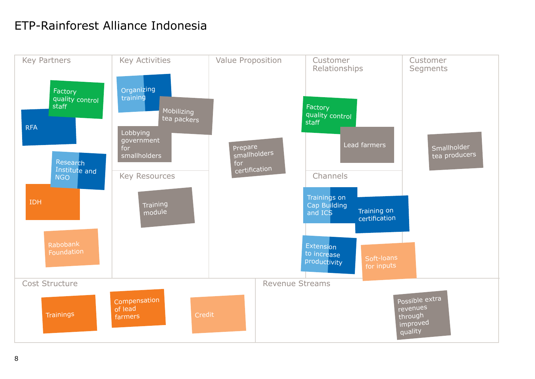## ETP-Rainforest Alliance Indonesia

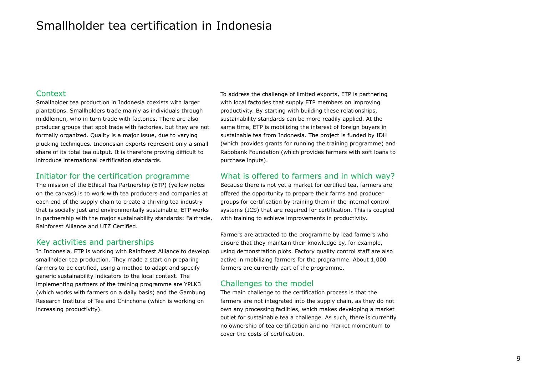### Smallholder tea certification in Indonesia

#### **Context**

Smallholder tea production in Indonesia coexists with larger plantations. Smallholders trade mainly as individuals through middlemen, who in turn trade with factories. There are also producer groups that spot trade with factories, but they are not formally organized. Quality is a major issue, due to varying plucking techniques. Indonesian exports represent only a small share of its total tea output. It is therefore proving difficult to introduce international certification standards.

#### Initiator for the certification programme

The mission of the Ethical Tea Partnership (ETP) (yellow notes on the canvas) is to work with tea producers and companies at each end of the supply chain to create a thriving tea industry that is socially just and environmentally sustainable. ETP works in partnership with the major sustainability standards: Fairtrade, Rainforest Alliance and UTZ Certified.

#### Key activities and partnerships

In Indonesia, ETP is working with Rainforest Alliance to develop smallholder tea production. They made a start on preparing farmers to be certified, using a method to adapt and specify generic sustainability indicators to the local context. The implementing partners of the training programme are YPLK3 (which works with farmers on a daily basis) and the Gambung Research Institute of Tea and Chinchona (which is working on increasing productivity).

To address the challenge of limited exports, ETP is partnering with local factories that supply ETP members on improving productivity. By starting with building these relationships, sustainability standards can be more readily applied. At the same time, ETP is mobilizing the interest of foreign buyers in sustainable tea from Indonesia. The project is funded by IDH (which provides grants for running the training programme) and Rabobank Foundation (which provides farmers with soft loans to purchase inputs).

#### What is offered to farmers and in which way?

Because there is not yet a market for certified tea, farmers are offered the opportunity to prepare their farms and producer groups for certification by training them in the internal control systems (ICS) that are required for certification. This is coupled with training to achieve improvements in productivity.

Farmers are attracted to the programme by lead farmers who ensure that they maintain their knowledge by, for example, using demonstration plots. Factory quality control staff are also active in mobilizing farmers for the programme. About 1,000 farmers are currently part of the programme.

#### Challenges to the model

The main challenge to the certification process is that the farmers are not integrated into the supply chain, as they do not own any processing facilities, which makes developing a market outlet for sustainable tea a challenge. As such, there is currently no ownership of tea certification and no market momentum to cover the costs of certification.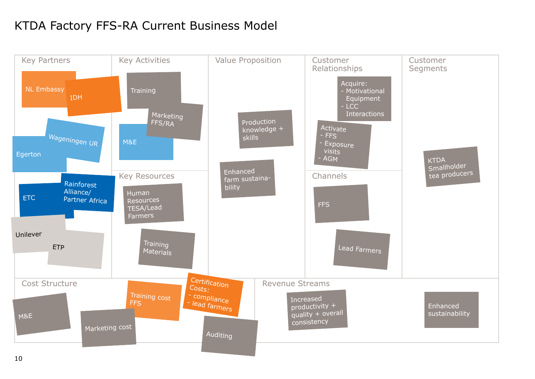## KTDA Factory FFS-RA Current Business Model

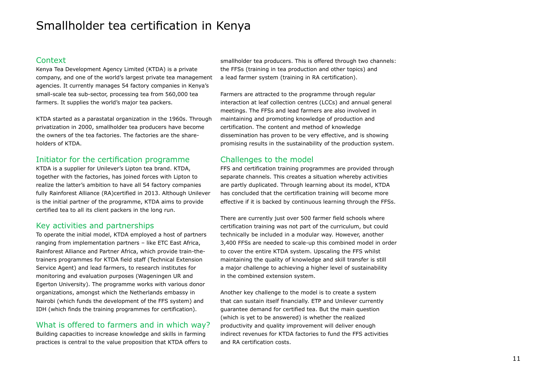### Smallholder tea certification in Kenya

#### Context

Kenya Tea Development Agency Limited (KTDA) is a private company, and one of the world's largest private tea management agencies. It currently manages 54 factory companies in Kenya's small-scale tea sub-sector, processing tea from 560,000 tea farmers. It supplies the world's major tea packers.

KTDA started as a parastatal organization in the 1960s. Through privatization in 2000, smallholder tea producers have become the owners of the tea factories. The factories are the shareholders of KTDA.

#### Initiator for the certification programme

KTDA is a supplier for Unilever's Lipton tea brand. KTDA, together with the factories, has joined forces with Lipton to realize the latter's ambition to have all 54 factory companies fully Rainforest Alliance (RA)certified in 2013. Although Unilever is the initial partner of the programme, KTDA aims to provide certified tea to all its client packers in the long run.

#### Key activities and partnerships

To operate the initial model, KTDA employed a host of partners ranging from implementation partners – like ETC East Africa, Rainforest Alliance and Partner Africa, which provide train-thetrainers programmes for KTDA field staff (Technical Extension Service Agent) and lead farmers, to research institutes for monitoring and evaluation purposes (Wageningen UR and Egerton University). The programme works with various donor organizations, amongst which the Netherlands embassy in Nairobi (which funds the development of the FFS system) and IDH (which finds the training programmes for certification).

#### What is offered to farmers and in which way?

Building capacities to increase knowledge and skills in farming practices is central to the value proposition that KTDA offers to smallholder tea producers. This is offered through two channels: the FFSs (training in tea production and other topics) and a lead farmer system (training in RA certification).

Farmers are attracted to the programme through regular interaction at leaf collection centres (LCCs) and annual general meetings. The FFSs and lead farmers are also involved in maintaining and promoting knowledge of production and certification. The content and method of knowledge dissemination has proven to be very effective, and is showing promising results in the sustainability of the production system.

#### Challenges to the model

FFS and certification training programmes are provided through separate channels. This creates a situation whereby activities are partly duplicated. Through learning about its model, KTDA has concluded that the certification training will become more effective if it is backed by continuous learning through the FFSs.

There are currently just over 500 farmer field schools where certification training was not part of the curriculum, but could technically be included in a modular way. However, another 3,400 FFSs are needed to scale-up this combined model in order to cover the entire KTDA system. Upscaling the FFS whilst maintaining the quality of knowledge and skill transfer is still a major challenge to achieving a higher level of sustainability in the combined extension system.

Another key challenge to the model is to create a system that can sustain itself financially. ETP and Unilever currently guarantee demand for certified tea. But the main question (which is yet to be answered) is whether the realized productivity and quality improvement will deliver enough indirect revenues for KTDA factories to fund the FFS activities and RA certification costs.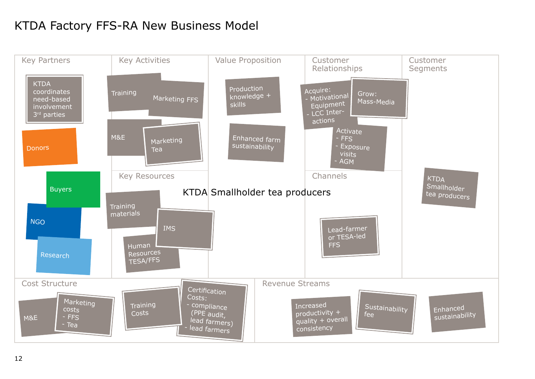## KTDA Factory FFS-RA New Business Model

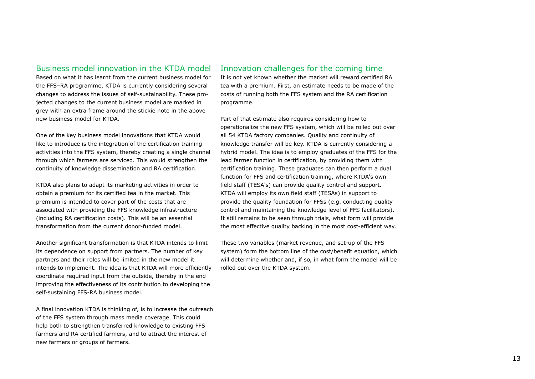#### Business model innovation in the KTDA model

Based on what it has learnt from the current business model for the FFS–RA programme, KTDA is currently considering several changes to address the issues of self-sustainability. These projected changes to the current business model are marked in grey with an extra frame around the stickie note in the above new business model for KTDA.

One of the key business model innovations that KTDA would like to introduce is the integration of the certification training activities into the FFS system, thereby creating a single channel through which farmers are serviced. This would strengthen the continuity of knowledge dissemination and RA certification.

KTDA also plans to adapt its marketing activities in order to obtain a premium for its certified tea in the market. This premium is intended to cover part of the costs that are associated with providing the FFS knowledge infrastructure (including RA certification costs). This will be an essential transformation from the current donor-funded model.

Another significant transformation is that KTDA intends to limit its dependence on support from partners. The number of key partners and their roles will be limited in the new model it intends to implement. The idea is that KTDA will more efficiently coordinate required input from the outside, thereby in the end improving the effectiveness of its contribution to developing the self-sustaining FFS-RA business model.

A final innovation KTDA is thinking of, is to increase the outreach of the FFS system through mass media coverage. This could help both to strengthen transferred knowledge to existing FFS farmers and RA certified farmers, and to attract the interest of new farmers or groups of farmers.

#### Innovation challenges for the coming time

It is not yet known whether the market will reward certified RA tea with a premium. First, an estimate needs to be made of the costs of running both the FFS system and the RA certification programme.

Part of that estimate also requires considering how to operationalize the new FFS system, which will be rolled out over all 54 KTDA factory companies. Quality and continuity of knowledge transfer will be key. KTDA is currently considering a hybrid model. The idea is to employ graduates of the FFS for the lead farmer function in certification, by providing them with certification training. These graduates can then perform a dual function for FFS and certification training, where KTDA's own field staff (TESA's) can provide quality control and support. KTDA will employ its own field staff (TESAs) in support to provide the quality foundation for FFSs (e.g. conducting quality control and maintaining the knowledge level of FFS facilitators). It still remains to be seen through trials, what form will provide the most effective quality backing in the most cost-efficient way.

These two variables (market revenue, and set-up of the FFS system) form the bottom line of the cost/benefit equation, which will determine whether and, if so, in what form the model will be rolled out over the KTDA system.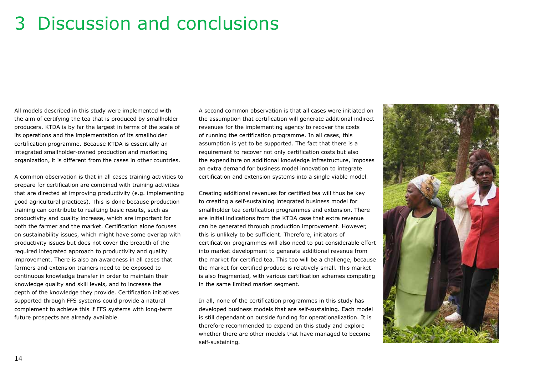## 3 Discussion and conclusions

All models described in this study were implemented with the aim of certifying the tea that is produced by smallholder producers. KTDA is by far the largest in terms of the scale of its operations and the implementation of its smallholder certification programme. Because KTDA is essentially an integrated smallholder-owned production and marketing organization, it is different from the cases in other countries.

A common observation is that in all cases training activities to prepare for certification are combined with training activities that are directed at improving productivity (e.g. implementing good agricultural practices). This is done because production training can contribute to realizing basic results, such as productivity and quality increase, which are important for both the farmer and the market. Certification alone focuses on sustainability issues, which might have some overlap with productivity issues but does not cover the breadth of the required integrated approach to productivity and quality improvement. There is also an awareness in all cases that farmers and extension trainers need to be exposed to continuous knowledge transfer in order to maintain their knowledge quality and skill levels, and to increase the depth of the knowledge they provide. Certification initiatives supported through FFS systems could provide a natural complement to achieve this if FFS systems with long-term future prospects are already available.

A second common observation is that all cases were initiated on the assumption that certification will generate additional indirect revenues for the implementing agency to recover the costs of running the certification programme. In all cases, this assumption is yet to be supported. The fact that there is a requirement to recover not only certification costs but also the expenditure on additional knowledge infrastructure, imposes an extra demand for business model innovation to integrate certification and extension systems into a single viable model.

Creating additional revenues for certified tea will thus be key to creating a self-sustaining integrated business model for smallholder tea certification programmes and extension. There are initial indications from the KTDA case that extra revenue can be generated through production improvement. However, this is unlikely to be sufficient. Therefore, initiators of certification programmes will also need to put considerable effort into market development to generate additional revenue from the market for certified tea. This too will be a challenge, because the market for certified produce is relatively small. This market is also fragmented, with various certification schemes competing in the same limited market segment.

In all, none of the certification programmes in this study has developed business models that are self-sustaining. Each model is still dependant on outside funding for operationalization. It is therefore recommended to expand on this study and explore whether there are other models that have managed to become self-sustaining.

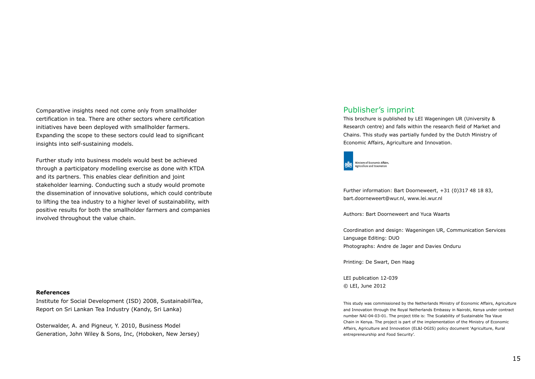Comparative insights need not come only from smallholder certification in tea. There are other sectors where certification initiatives have been deployed with smallholder farmers. Expanding the scope to these sectors could lead to significant insights into self-sustaining models.

Further study into business models would best be achieved through a participatory modelling exercise as done with KTDA and its partners. This enables clear definition and joint stakeholder learning. Conducting such a study would promote the dissemination of innovative solutions, which could contribute to lifting the tea industry to a higher level of sustainability, with positive results for both the smallholder farmers and companies involved throughout the value chain.

#### **References**

Institute for Social Development (ISD) 2008, SustainabiliTea, Report on Sri Lankan Tea Industry (Kandy, Sri Lanka)

Osterwalder, A. and Pigneur, Y. 2010, Business Model Generation, John Wiley & Sons, Inc, (Hoboken, New Jersey)

#### Publisher's imprint

This brochure is published by LEI Wageningen UR (University & Research centre) and falls within the research field of Market and Chains. This study was partially funded by the Dutch Ministry of Economic Affairs, Agriculture and Innovation.



Further information: Bart Doorneweert, +31 (0)317 48 18 83, bart.doorneweert@wur.nl, www.lei.wur.nl

Authors: Bart Doorneweert and Yuca Waarts

Coordination and design: Wageningen UR, Communication Services Language Editing: DUO Photographs: Andre de Jager and Davies Onduru

Printing: De Swart, Den Haag

LEI publication 12-039 © LEI, June 2012

This study was commissioned by the Netherlands Ministry of Economic Affairs, Agriculture and Innovation through the Royal Netherlands Embassy in Nairobi, Kenya under contract number NAI-04-03-01. The project title is: The Scalability of Sustainable Tea Vaue Chain in Kenya. The project is part of the implementation of the Ministry of Economic Affairs, Agriculture and Innovation (EL&I-DGIS) policy document 'Agriculture, Rural entrepreneurship and Food Security'.